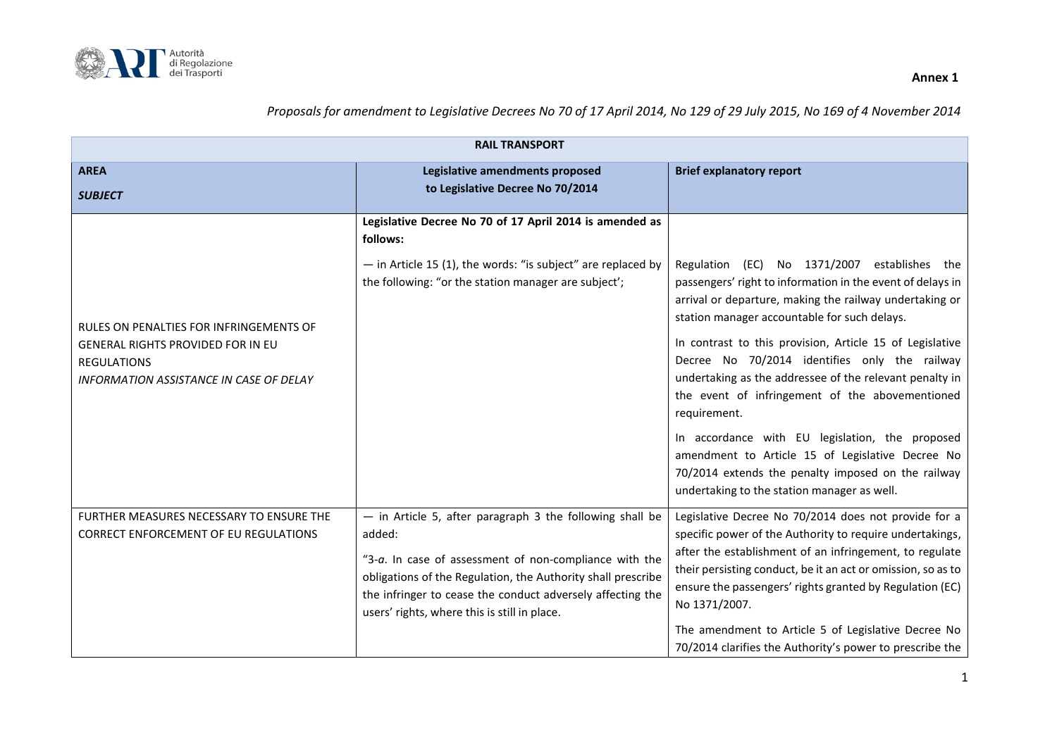

| <b>RAIL TRANSPORT</b>                                                                                                                                |                                                                                                                                                                                                                                                                                                            |                                                                                                                                                                                                                                                                                                                                                                                                                                                                                                                                                                                                                                                                              |
|------------------------------------------------------------------------------------------------------------------------------------------------------|------------------------------------------------------------------------------------------------------------------------------------------------------------------------------------------------------------------------------------------------------------------------------------------------------------|------------------------------------------------------------------------------------------------------------------------------------------------------------------------------------------------------------------------------------------------------------------------------------------------------------------------------------------------------------------------------------------------------------------------------------------------------------------------------------------------------------------------------------------------------------------------------------------------------------------------------------------------------------------------------|
| <b>AREA</b><br><b>SUBJECT</b>                                                                                                                        | Legislative amendments proposed<br>to Legislative Decree No 70/2014                                                                                                                                                                                                                                        | <b>Brief explanatory report</b>                                                                                                                                                                                                                                                                                                                                                                                                                                                                                                                                                                                                                                              |
| RULES ON PENALTIES FOR INFRINGEMENTS OF<br>GENERAL RIGHTS PROVIDED FOR IN EU<br><b>REGULATIONS</b><br><b>INFORMATION ASSISTANCE IN CASE OF DELAY</b> | Legislative Decree No 70 of 17 April 2014 is amended as<br>follows:<br>- in Article 15 (1), the words: "is subject" are replaced by<br>the following: "or the station manager are subject';                                                                                                                | Regulation (EC) No 1371/2007 establishes the<br>passengers' right to information in the event of delays in<br>arrival or departure, making the railway undertaking or<br>station manager accountable for such delays.<br>In contrast to this provision, Article 15 of Legislative<br>Decree No 70/2014 identifies only the railway<br>undertaking as the addressee of the relevant penalty in<br>the event of infringement of the abovementioned<br>requirement.<br>In accordance with EU legislation, the proposed<br>amendment to Article 15 of Legislative Decree No<br>70/2014 extends the penalty imposed on the railway<br>undertaking to the station manager as well. |
| FURTHER MEASURES NECESSARY TO ENSURE THE<br><b>CORRECT ENFORCEMENT OF EU REGULATIONS</b>                                                             | - in Article 5, after paragraph 3 the following shall be<br>added:<br>"3-a. In case of assessment of non-compliance with the<br>obligations of the Regulation, the Authority shall prescribe<br>the infringer to cease the conduct adversely affecting the<br>users' rights, where this is still in place. | Legislative Decree No 70/2014 does not provide for a<br>specific power of the Authority to require undertakings,<br>after the establishment of an infringement, to regulate<br>their persisting conduct, be it an act or omission, so as to<br>ensure the passengers' rights granted by Regulation (EC)<br>No 1371/2007.<br>The amendment to Article 5 of Legislative Decree No<br>70/2014 clarifies the Authority's power to prescribe the                                                                                                                                                                                                                                  |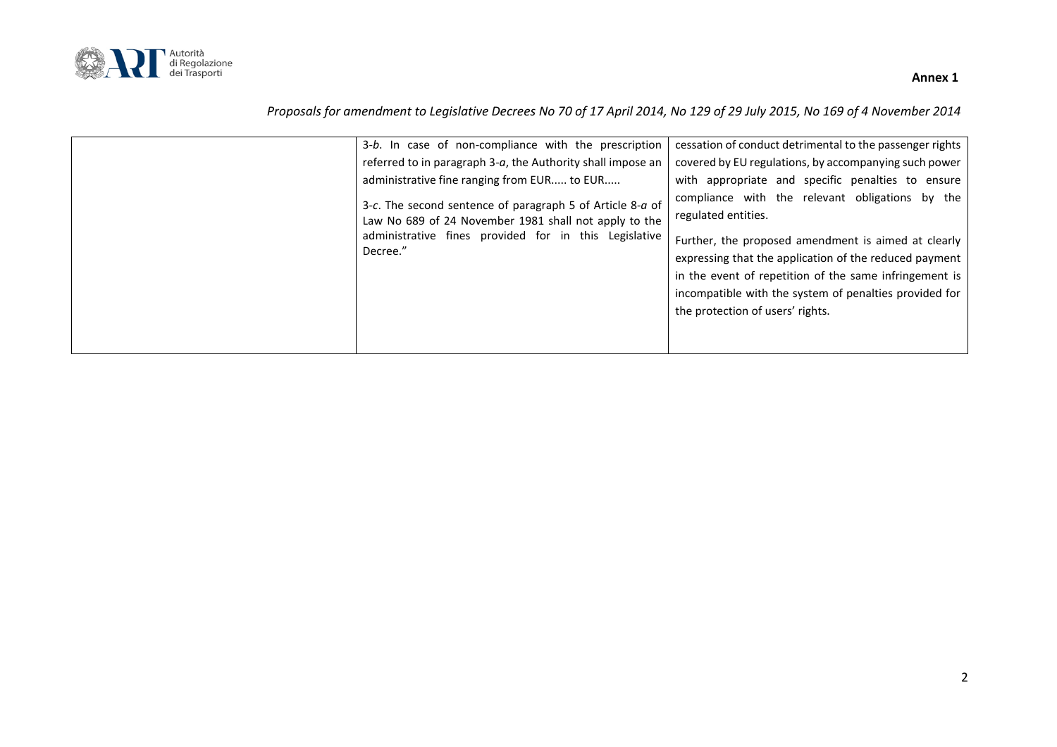

| 3-b. In case of non-compliance with the prescription                                                                                                                                                                                                                                                  | cessation of conduct detrimental to the passenger rights                                                                                                                                                                                                                                                                                                                                                                                                      |
|-------------------------------------------------------------------------------------------------------------------------------------------------------------------------------------------------------------------------------------------------------------------------------------------------------|---------------------------------------------------------------------------------------------------------------------------------------------------------------------------------------------------------------------------------------------------------------------------------------------------------------------------------------------------------------------------------------------------------------------------------------------------------------|
| referred to in paragraph 3-a, the Authority shall impose an<br>administrative fine ranging from EUR to EUR<br>3-c. The second sentence of paragraph 5 of Article 8-a of<br>Law No 689 of 24 November 1981 shall not apply to the<br>administrative fines provided for in this Legislative<br>Decree." | covered by EU regulations, by accompanying such power<br>with appropriate and specific penalties to ensure<br>compliance with the relevant obligations by the<br>regulated entities.<br>Further, the proposed amendment is aimed at clearly<br>expressing that the application of the reduced payment<br>in the event of repetition of the same infringement is<br>incompatible with the system of penalties provided for<br>the protection of users' rights. |
|                                                                                                                                                                                                                                                                                                       |                                                                                                                                                                                                                                                                                                                                                                                                                                                               |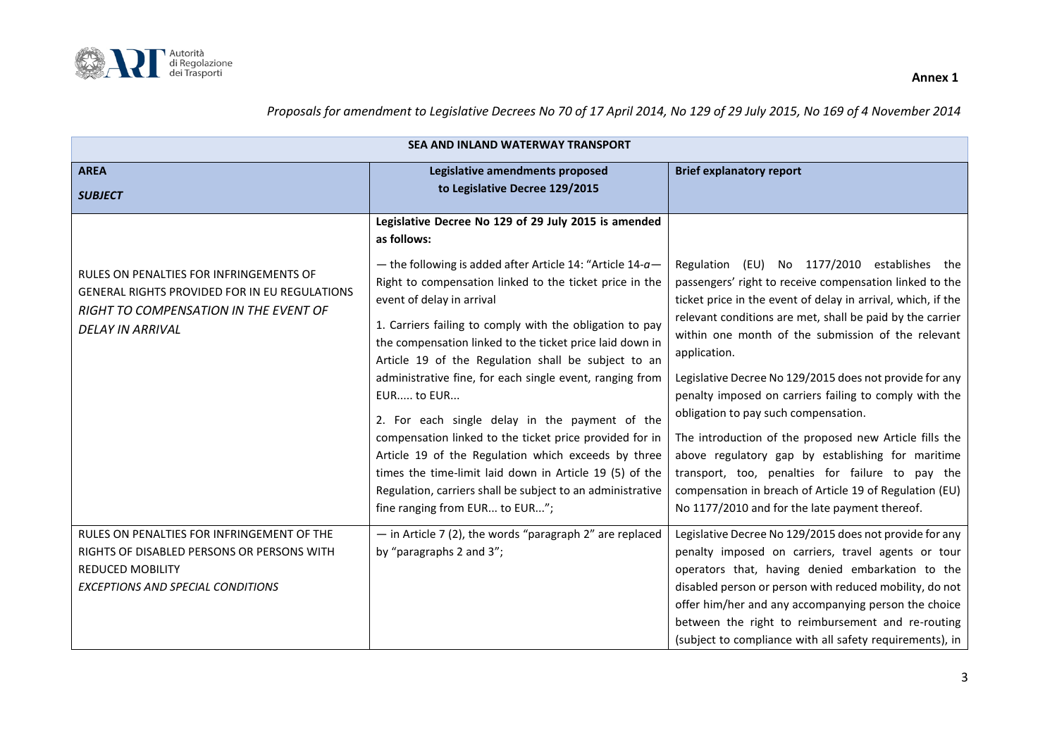

| <b>SEA AND INLAND WATERWAY TRANSPORT</b>                                                                                                                            |                                                                                                                                                                                                                                                                                                                                                                                                                                                                                                                                                                                                                                                                                                                                                                                                                     |                                                                                                                                                                                                                                                                                                                                                                                                                                                                                                                                                                                                                                                                                                                                                         |
|---------------------------------------------------------------------------------------------------------------------------------------------------------------------|---------------------------------------------------------------------------------------------------------------------------------------------------------------------------------------------------------------------------------------------------------------------------------------------------------------------------------------------------------------------------------------------------------------------------------------------------------------------------------------------------------------------------------------------------------------------------------------------------------------------------------------------------------------------------------------------------------------------------------------------------------------------------------------------------------------------|---------------------------------------------------------------------------------------------------------------------------------------------------------------------------------------------------------------------------------------------------------------------------------------------------------------------------------------------------------------------------------------------------------------------------------------------------------------------------------------------------------------------------------------------------------------------------------------------------------------------------------------------------------------------------------------------------------------------------------------------------------|
| <b>AREA</b>                                                                                                                                                         | Legislative amendments proposed                                                                                                                                                                                                                                                                                                                                                                                                                                                                                                                                                                                                                                                                                                                                                                                     | <b>Brief explanatory report</b>                                                                                                                                                                                                                                                                                                                                                                                                                                                                                                                                                                                                                                                                                                                         |
| <b>SUBJECT</b>                                                                                                                                                      | to Legislative Decree 129/2015                                                                                                                                                                                                                                                                                                                                                                                                                                                                                                                                                                                                                                                                                                                                                                                      |                                                                                                                                                                                                                                                                                                                                                                                                                                                                                                                                                                                                                                                                                                                                                         |
| RULES ON PENALTIES FOR INFRINGEMENTS OF<br><b>GENERAL RIGHTS PROVIDED FOR IN EU REGULATIONS</b><br>RIGHT TO COMPENSATION IN THE EVENT OF<br><b>DELAY IN ARRIVAL</b> | Legislative Decree No 129 of 29 July 2015 is amended<br>as follows:<br>- the following is added after Article 14: "Article 14- $a-$<br>Right to compensation linked to the ticket price in the<br>event of delay in arrival<br>1. Carriers failing to comply with the obligation to pay<br>the compensation linked to the ticket price laid down in<br>Article 19 of the Regulation shall be subject to an<br>administrative fine, for each single event, ranging from<br>EUR to EUR<br>2. For each single delay in the payment of the<br>compensation linked to the ticket price provided for in<br>Article 19 of the Regulation which exceeds by three<br>times the time-limit laid down in Article 19 (5) of the<br>Regulation, carriers shall be subject to an administrative<br>fine ranging from EUR to EUR"; | Regulation (EU) No 1177/2010 establishes the<br>passengers' right to receive compensation linked to the<br>ticket price in the event of delay in arrival, which, if the<br>relevant conditions are met, shall be paid by the carrier<br>within one month of the submission of the relevant<br>application.<br>Legislative Decree No 129/2015 does not provide for any<br>penalty imposed on carriers failing to comply with the<br>obligation to pay such compensation.<br>The introduction of the proposed new Article fills the<br>above regulatory gap by establishing for maritime<br>transport, too, penalties for failure to pay the<br>compensation in breach of Article 19 of Regulation (EU)<br>No 1177/2010 and for the late payment thereof. |
| RULES ON PENALTIES FOR INFRINGEMENT OF THE<br>RIGHTS OF DISABLED PERSONS OR PERSONS WITH<br><b>REDUCED MOBILITY</b><br><b>EXCEPTIONS AND SPECIAL CONDITIONS</b>     | $-$ in Article 7 (2), the words "paragraph 2" are replaced<br>by "paragraphs 2 and 3";                                                                                                                                                                                                                                                                                                                                                                                                                                                                                                                                                                                                                                                                                                                              | Legislative Decree No 129/2015 does not provide for any<br>penalty imposed on carriers, travel agents or tour<br>operators that, having denied embarkation to the<br>disabled person or person with reduced mobility, do not<br>offer him/her and any accompanying person the choice<br>between the right to reimbursement and re-routing                                                                                                                                                                                                                                                                                                                                                                                                               |
|                                                                                                                                                                     |                                                                                                                                                                                                                                                                                                                                                                                                                                                                                                                                                                                                                                                                                                                                                                                                                     | (subject to compliance with all safety requirements), in                                                                                                                                                                                                                                                                                                                                                                                                                                                                                                                                                                                                                                                                                                |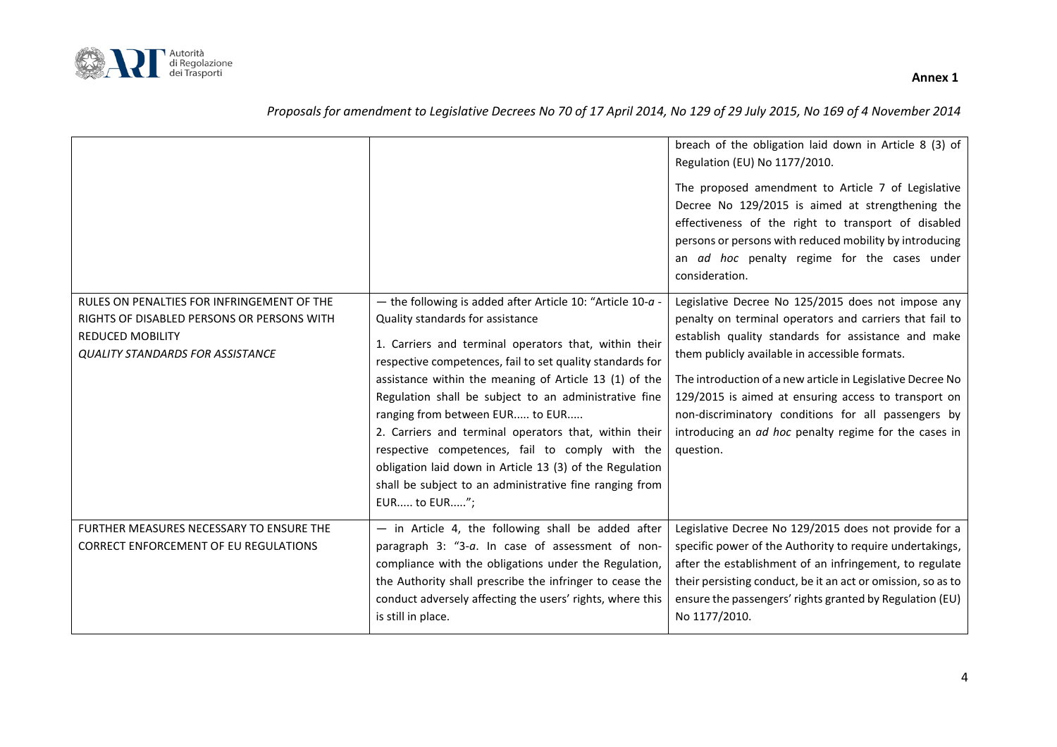

|                                                                                                                                                                |                                                                                                                                                                                                                                                                                                                                                                                                                                                                                                                                                                                                                                  | breach of the obligation laid down in Article 8 (3) of<br>Regulation (EU) No 1177/2010.<br>The proposed amendment to Article 7 of Legislative<br>Decree No 129/2015 is aimed at strengthening the<br>effectiveness of the right to transport of disabled<br>persons or persons with reduced mobility by introducing<br>an ad hoc penalty regime for the cases under<br>consideration.                                                                                     |
|----------------------------------------------------------------------------------------------------------------------------------------------------------------|----------------------------------------------------------------------------------------------------------------------------------------------------------------------------------------------------------------------------------------------------------------------------------------------------------------------------------------------------------------------------------------------------------------------------------------------------------------------------------------------------------------------------------------------------------------------------------------------------------------------------------|---------------------------------------------------------------------------------------------------------------------------------------------------------------------------------------------------------------------------------------------------------------------------------------------------------------------------------------------------------------------------------------------------------------------------------------------------------------------------|
| RULES ON PENALTIES FOR INFRINGEMENT OF THE<br>RIGHTS OF DISABLED PERSONS OR PERSONS WITH<br><b>REDUCED MOBILITY</b><br><b>QUALITY STANDARDS FOR ASSISTANCE</b> | - the following is added after Article 10: "Article 10- $a$ -<br>Quality standards for assistance<br>1. Carriers and terminal operators that, within their<br>respective competences, fail to set quality standards for<br>assistance within the meaning of Article 13 (1) of the<br>Regulation shall be subject to an administrative fine<br>ranging from between EUR to EUR<br>2. Carriers and terminal operators that, within their<br>respective competences, fail to comply with the<br>obligation laid down in Article 13 (3) of the Regulation<br>shall be subject to an administrative fine ranging from<br>EUR to EUR"; | Legislative Decree No 125/2015 does not impose any<br>penalty on terminal operators and carriers that fail to<br>establish quality standards for assistance and make<br>them publicly available in accessible formats.<br>The introduction of a new article in Legislative Decree No<br>129/2015 is aimed at ensuring access to transport on<br>non-discriminatory conditions for all passengers by<br>introducing an ad hoc penalty regime for the cases in<br>question. |
| FURTHER MEASURES NECESSARY TO ENSURE THE<br>CORRECT ENFORCEMENT OF EU REGULATIONS                                                                              | - in Article 4, the following shall be added after<br>paragraph 3: "3-a. In case of assessment of non-<br>compliance with the obligations under the Regulation,<br>the Authority shall prescribe the infringer to cease the<br>conduct adversely affecting the users' rights, where this<br>is still in place.                                                                                                                                                                                                                                                                                                                   | Legislative Decree No 129/2015 does not provide for a<br>specific power of the Authority to require undertakings,<br>after the establishment of an infringement, to regulate<br>their persisting conduct, be it an act or omission, so as to<br>ensure the passengers' rights granted by Regulation (EU)<br>No 1177/2010.                                                                                                                                                 |

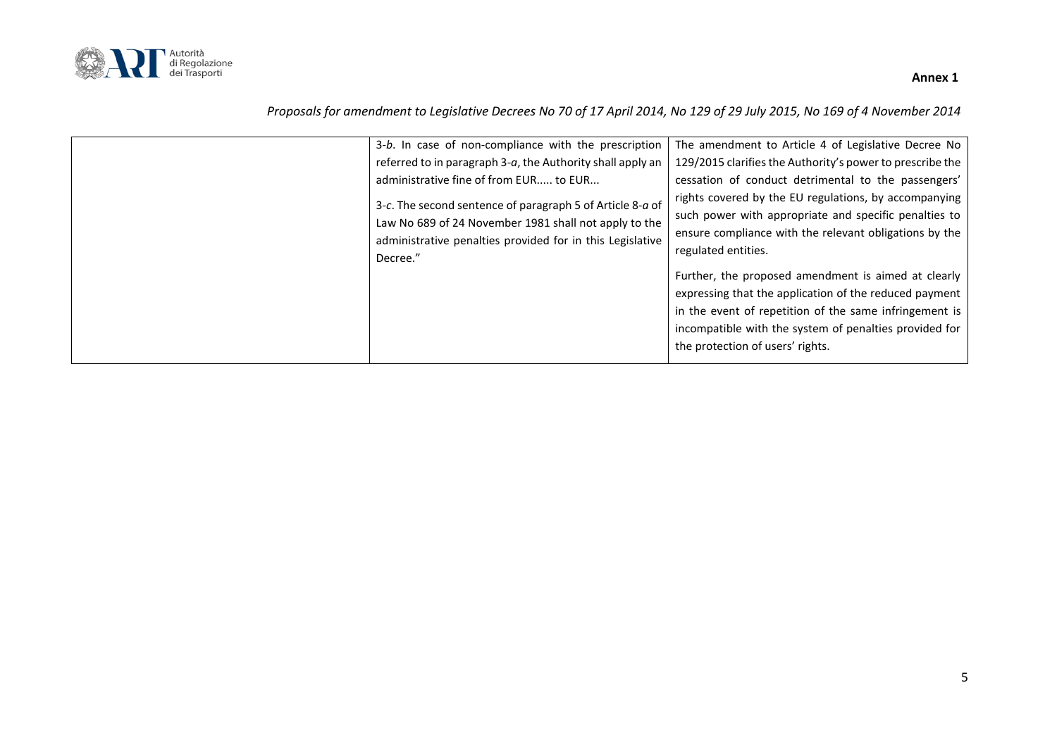

| Decree." | 3-b. In case of non-compliance with the prescription<br>referred to in paragraph 3-a, the Authority shall apply an<br>administrative fine of from EUR to EUR<br>3-c. The second sentence of paragraph 5 of Article 8-a of<br>Law No 689 of 24 November 1981 shall not apply to the<br>administrative penalties provided for in this Legislative | The amendment to Article 4 of Legislative Decree No<br>129/2015 clarifies the Authority's power to prescribe the<br>cessation of conduct detrimental to the passengers'<br>rights covered by the EU regulations, by accompanying<br>such power with appropriate and specific penalties to<br>ensure compliance with the relevant obligations by the<br>regulated entities.<br>Further, the proposed amendment is aimed at clearly<br>expressing that the application of the reduced payment<br>in the event of repetition of the same infringement is<br>incompatible with the system of penalties provided for<br>the protection of users' rights. |
|----------|-------------------------------------------------------------------------------------------------------------------------------------------------------------------------------------------------------------------------------------------------------------------------------------------------------------------------------------------------|-----------------------------------------------------------------------------------------------------------------------------------------------------------------------------------------------------------------------------------------------------------------------------------------------------------------------------------------------------------------------------------------------------------------------------------------------------------------------------------------------------------------------------------------------------------------------------------------------------------------------------------------------------|
|----------|-------------------------------------------------------------------------------------------------------------------------------------------------------------------------------------------------------------------------------------------------------------------------------------------------------------------------------------------------|-----------------------------------------------------------------------------------------------------------------------------------------------------------------------------------------------------------------------------------------------------------------------------------------------------------------------------------------------------------------------------------------------------------------------------------------------------------------------------------------------------------------------------------------------------------------------------------------------------------------------------------------------------|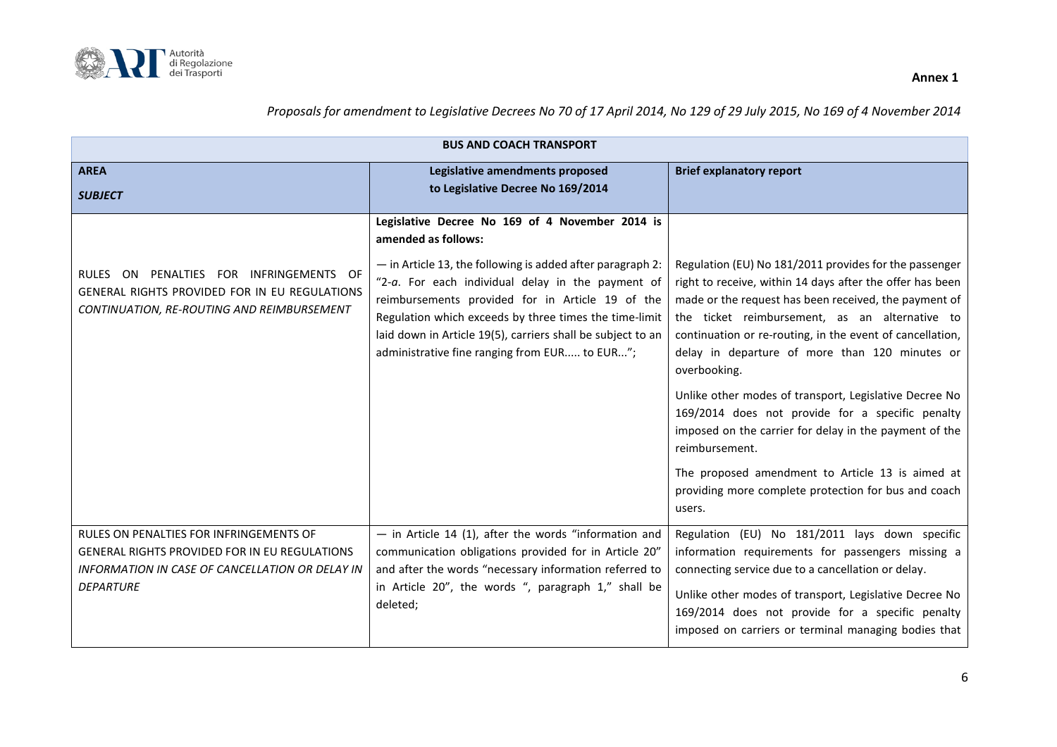

| <b>BUS AND COACH TRANSPORT</b>                                                                                                                                  |                                                                                                                                                                                                                                                                                                                                                                                                                           |                                                                                                                                                                                                                                                                                                                                                                                                                                                                                                                                                                                                                                                                               |
|-----------------------------------------------------------------------------------------------------------------------------------------------------------------|---------------------------------------------------------------------------------------------------------------------------------------------------------------------------------------------------------------------------------------------------------------------------------------------------------------------------------------------------------------------------------------------------------------------------|-------------------------------------------------------------------------------------------------------------------------------------------------------------------------------------------------------------------------------------------------------------------------------------------------------------------------------------------------------------------------------------------------------------------------------------------------------------------------------------------------------------------------------------------------------------------------------------------------------------------------------------------------------------------------------|
| <b>AREA</b><br><b>SUBJECT</b>                                                                                                                                   | Legislative amendments proposed<br>to Legislative Decree No 169/2014                                                                                                                                                                                                                                                                                                                                                      | <b>Brief explanatory report</b>                                                                                                                                                                                                                                                                                                                                                                                                                                                                                                                                                                                                                                               |
| RULES ON PENALTIES FOR INFRINGEMENTS OF<br>GENERAL RIGHTS PROVIDED FOR IN EU REGULATIONS<br>CONTINUATION, RE-ROUTING AND REIMBURSEMENT                          | Legislative Decree No 169 of 4 November 2014 is<br>amended as follows:<br>$-$ in Article 13, the following is added after paragraph 2:<br>"2-a. For each individual delay in the payment of<br>reimbursements provided for in Article 19 of the<br>Regulation which exceeds by three times the time-limit<br>laid down in Article 19(5), carriers shall be subject to an<br>administrative fine ranging from EUR to EUR"; | Regulation (EU) No 181/2011 provides for the passenger<br>right to receive, within 14 days after the offer has been<br>made or the request has been received, the payment of<br>the ticket reimbursement, as an alternative to<br>continuation or re-routing, in the event of cancellation,<br>delay in departure of more than 120 minutes or<br>overbooking.<br>Unlike other modes of transport, Legislative Decree No<br>169/2014 does not provide for a specific penalty<br>imposed on the carrier for delay in the payment of the<br>reimbursement.<br>The proposed amendment to Article 13 is aimed at<br>providing more complete protection for bus and coach<br>users. |
| RULES ON PENALTIES FOR INFRINGEMENTS OF<br>GENERAL RIGHTS PROVIDED FOR IN EU REGULATIONS<br>INFORMATION IN CASE OF CANCELLATION OR DELAY IN<br><b>DEPARTURE</b> | - in Article 14 (1), after the words "information and<br>communication obligations provided for in Article 20"<br>and after the words "necessary information referred to<br>in Article 20", the words ", paragraph 1," shall be<br>deleted;                                                                                                                                                                               | Regulation (EU) No 181/2011 lays down specific<br>information requirements for passengers missing a<br>connecting service due to a cancellation or delay.<br>Unlike other modes of transport, Legislative Decree No<br>169/2014 does not provide for a specific penalty<br>imposed on carriers or terminal managing bodies that                                                                                                                                                                                                                                                                                                                                               |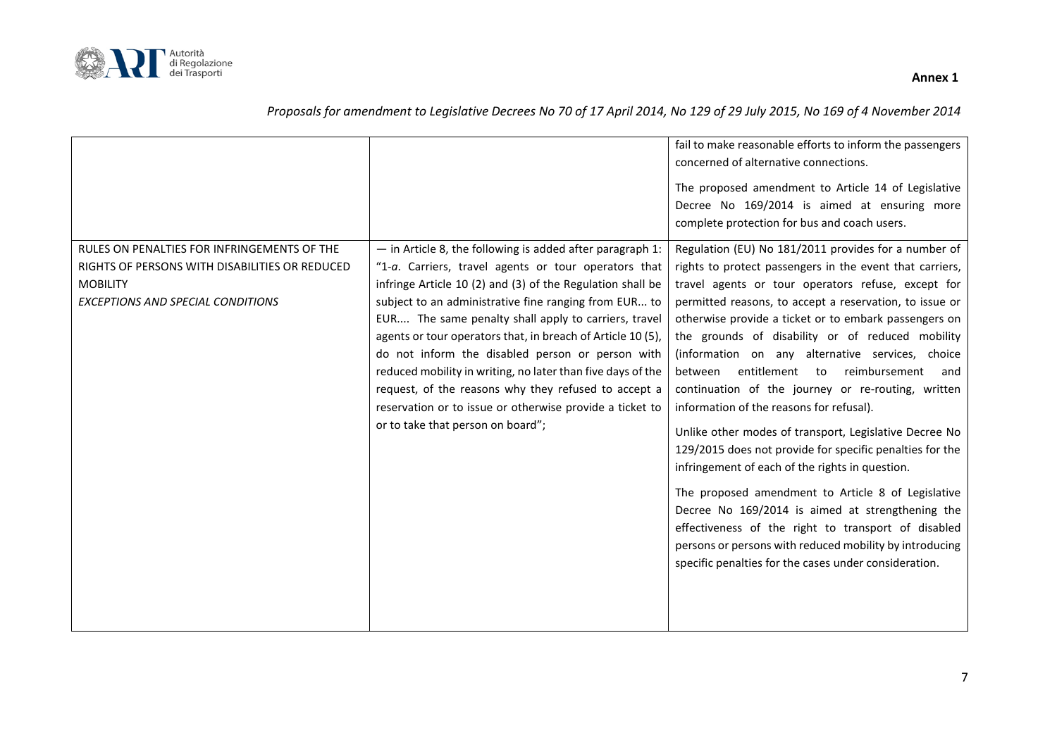

|                                                                                                                                                       |                                                                                                                                                                                                                                                                                                                                                                                                                                                                                                                                                                                                                                               | concerned of alternative connections.                                                                                                                                                                                                                                                                                                                                                                                                                                                                                                                                                                                                                                                                                                                                                                                                                                                                                                                                                                                   |
|-------------------------------------------------------------------------------------------------------------------------------------------------------|-----------------------------------------------------------------------------------------------------------------------------------------------------------------------------------------------------------------------------------------------------------------------------------------------------------------------------------------------------------------------------------------------------------------------------------------------------------------------------------------------------------------------------------------------------------------------------------------------------------------------------------------------|-------------------------------------------------------------------------------------------------------------------------------------------------------------------------------------------------------------------------------------------------------------------------------------------------------------------------------------------------------------------------------------------------------------------------------------------------------------------------------------------------------------------------------------------------------------------------------------------------------------------------------------------------------------------------------------------------------------------------------------------------------------------------------------------------------------------------------------------------------------------------------------------------------------------------------------------------------------------------------------------------------------------------|
|                                                                                                                                                       |                                                                                                                                                                                                                                                                                                                                                                                                                                                                                                                                                                                                                                               | The proposed amendment to Article 14 of Legislative<br>Decree No 169/2014 is aimed at ensuring more<br>complete protection for bus and coach users.                                                                                                                                                                                                                                                                                                                                                                                                                                                                                                                                                                                                                                                                                                                                                                                                                                                                     |
| RULES ON PENALTIES FOR INFRINGEMENTS OF THE<br>RIGHTS OF PERSONS WITH DISABILITIES OR REDUCED<br><b>MOBILITY</b><br>EXCEPTIONS AND SPECIAL CONDITIONS | $-$ in Article 8, the following is added after paragraph 1:<br>"1-a. Carriers, travel agents or tour operators that<br>infringe Article 10 (2) and (3) of the Regulation shall be<br>subject to an administrative fine ranging from EUR to<br>EUR The same penalty shall apply to carriers, travel<br>agents or tour operators that, in breach of Article 10 (5),<br>do not inform the disabled person or person with<br>reduced mobility in writing, no later than five days of the<br>request, of the reasons why they refused to accept a<br>reservation or to issue or otherwise provide a ticket to<br>or to take that person on board"; | Regulation (EU) No 181/2011 provides for a number of<br>rights to protect passengers in the event that carriers,<br>travel agents or tour operators refuse, except for<br>permitted reasons, to accept a reservation, to issue or<br>otherwise provide a ticket or to embark passengers on<br>the grounds of disability or of reduced mobility<br>(information on any alternative services, choice<br>entitlement to<br>reimbursement<br>between<br>and<br>continuation of the journey or re-routing, written<br>information of the reasons for refusal).<br>Unlike other modes of transport, Legislative Decree No<br>129/2015 does not provide for specific penalties for the<br>infringement of each of the rights in question.<br>The proposed amendment to Article 8 of Legislative<br>Decree No 169/2014 is aimed at strengthening the<br>effectiveness of the right to transport of disabled<br>persons or persons with reduced mobility by introducing<br>specific penalties for the cases under consideration. |

#### *Proposals for amendment to Legislative Decrees No 70 of 17 April 2014, No 129 of 29 July 2015, No 169 of 4 November 2014*

7

fail to make reasonable efforts to inform the passengers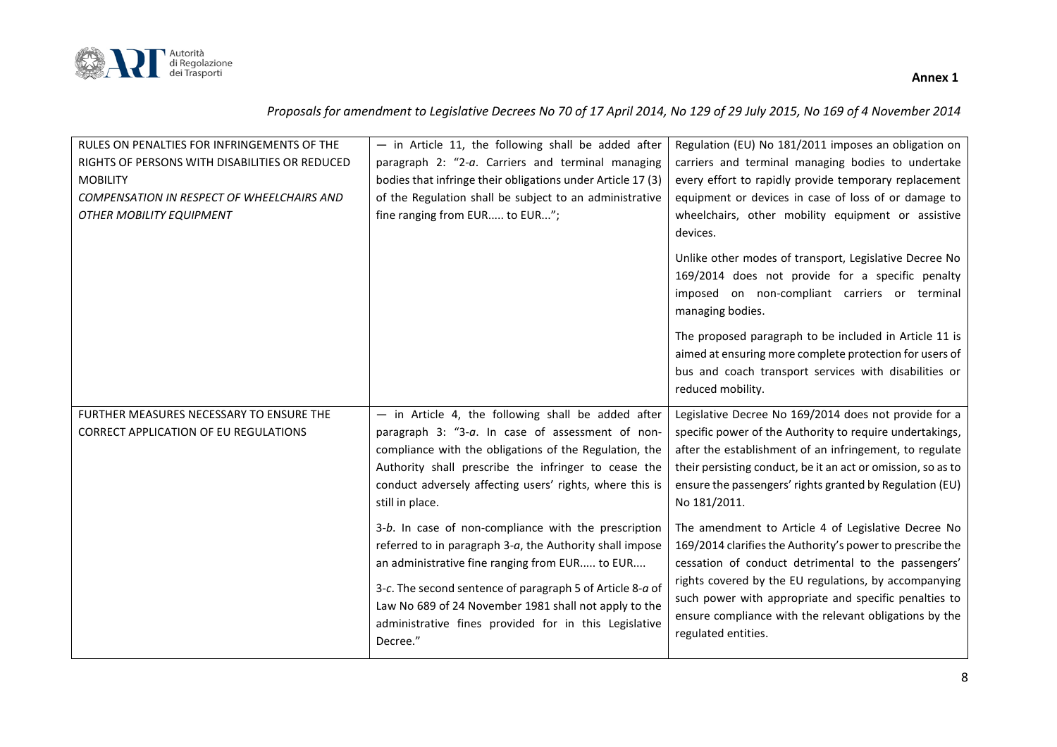

| RULES ON PENALTIES FOR INFRINGEMENTS OF THE<br>RIGHTS OF PERSONS WITH DISABILITIES OR REDUCED<br><b>MOBILITY</b><br>COMPENSATION IN RESPECT OF WHEELCHAIRS AND | $-$ in Article 11, the following shall be added after<br>paragraph 2: "2-a. Carriers and terminal managing<br>bodies that infringe their obligations under Article 17 (3)<br>of the Regulation shall be subject to an administrative                                                                                                                          | Regulation (EU) No 181/2011 imposes an obligation on<br>carriers and terminal managing bodies to undertake<br>every effort to rapidly provide temporary replacement<br>equipment or devices in case of loss of or damage to                                                                                                                                                |
|----------------------------------------------------------------------------------------------------------------------------------------------------------------|---------------------------------------------------------------------------------------------------------------------------------------------------------------------------------------------------------------------------------------------------------------------------------------------------------------------------------------------------------------|----------------------------------------------------------------------------------------------------------------------------------------------------------------------------------------------------------------------------------------------------------------------------------------------------------------------------------------------------------------------------|
| OTHER MOBILITY EQUIPMENT                                                                                                                                       | fine ranging from EUR to EUR";                                                                                                                                                                                                                                                                                                                                | wheelchairs, other mobility equipment or assistive<br>devices.<br>Unlike other modes of transport, Legislative Decree No<br>169/2014 does not provide for a specific penalty<br>imposed on non-compliant carriers or terminal<br>managing bodies.                                                                                                                          |
|                                                                                                                                                                |                                                                                                                                                                                                                                                                                                                                                               | The proposed paragraph to be included in Article 11 is<br>aimed at ensuring more complete protection for users of<br>bus and coach transport services with disabilities or<br>reduced mobility.                                                                                                                                                                            |
| FURTHER MEASURES NECESSARY TO ENSURE THE<br><b>CORRECT APPLICATION OF EU REGULATIONS</b>                                                                       | $-$ in Article 4, the following shall be added after<br>paragraph 3: "3-a. In case of assessment of non-<br>compliance with the obligations of the Regulation, the<br>Authority shall prescribe the infringer to cease the<br>conduct adversely affecting users' rights, where this is<br>still in place.                                                     | Legislative Decree No 169/2014 does not provide for a<br>specific power of the Authority to require undertakings,<br>after the establishment of an infringement, to regulate<br>their persisting conduct, be it an act or omission, so as to<br>ensure the passengers' rights granted by Regulation (EU)<br>No 181/2011.                                                   |
|                                                                                                                                                                | 3-b. In case of non-compliance with the prescription<br>referred to in paragraph 3-a, the Authority shall impose<br>an administrative fine ranging from EUR to EUR<br>3-c. The second sentence of paragraph 5 of Article 8-a of<br>Law No 689 of 24 November 1981 shall not apply to the<br>administrative fines provided for in this Legislative<br>Decree." | The amendment to Article 4 of Legislative Decree No<br>169/2014 clarifies the Authority's power to prescribe the<br>cessation of conduct detrimental to the passengers'<br>rights covered by the EU regulations, by accompanying<br>such power with appropriate and specific penalties to<br>ensure compliance with the relevant obligations by the<br>regulated entities. |